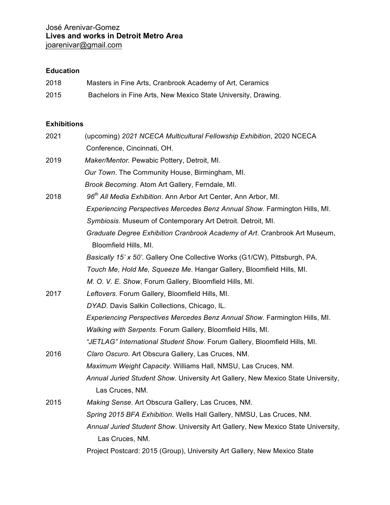## **Education**

| 2018 | Masters in Fine Arts, Cranbrook Academy of Art, Ceramics      |
|------|---------------------------------------------------------------|
| 2015 | Bachelors in Fine Arts, New Mexico State University, Drawing. |

## **Exhibitions**

| 2021 | (upcoming) 2021 NCECA Multicultural Fellowship Exhibition, 2020 NCECA            |
|------|----------------------------------------------------------------------------------|
|      | Conference, Cincinnati, OH.                                                      |
| 2019 | Maker/Mentor. Pewabic Pottery, Detroit, MI.                                      |
|      | Our Town. The Community House, Birmingham, MI.                                   |
|      | Brook Becoming. Atom Art Gallery, Ferndale, MI.                                  |
| 2018 | 96 <sup>th</sup> All Media Exhibition. Ann Arbor Art Center, Ann Arbor, MI.      |
|      | Experiencing Perspectives Mercedes Benz Annual Show. Farmington Hills, MI.       |
|      | Symbiosis. Museum of Contemporary Art Detroit. Detroit, MI.                      |
|      | Graduate Degree Exhibition Cranbrook Academy of Art. Cranbrook Art Museum,       |
|      | Bloomfield Hills, MI.                                                            |
|      | Basically 15' x 50'. Gallery One Collective Works (G1/CW), Pittsburgh, PA.       |
|      | Touch Me, Hold Me, Squeeze Me. Hangar Gallery, Bloomfield Hills, MI.             |
|      | M. O. V. E. Show, Forum Gallery, Bloomfield Hills, MI.                           |
| 2017 | Leftovers. Forum Gallery, Bloomfield Hills, MI.                                  |
|      | DYAD. Davis Salkin Collections, Chicago, IL.                                     |
|      | Experiencing Perspectives Mercedes Benz Annual Show. Farmington Hills, MI.       |
|      | Walking with Serpents. Forum Gallery, Bloomfield Hills, MI.                      |
|      | "JETLAG" International Student Show. Forum Gallery, Bloomfield Hills, MI.        |
| 2016 | Claro Oscuro. Art Obscura Gallery, Las Cruces, NM.                               |
|      | Maximum Weight Capacity. Williams Hall, NMSU, Las Cruces, NM.                    |
|      | Annual Juried Student Show. University Art Gallery, New Mexico State University, |
|      | Las Cruces, NM.                                                                  |
| 2015 | Making Sense. Art Obscura Gallery, Las Cruces, NM.                               |
|      | Spring 2015 BFA Exhibition. Wells Hall Gallery, NMSU, Las Cruces, NM.            |
|      | Annual Juried Student Show. University Art Gallery, New Mexico State University, |
|      | Las Cruces, NM.                                                                  |
|      | Project Postcard: 2015 (Group), University Art Gallery, New Mexico State         |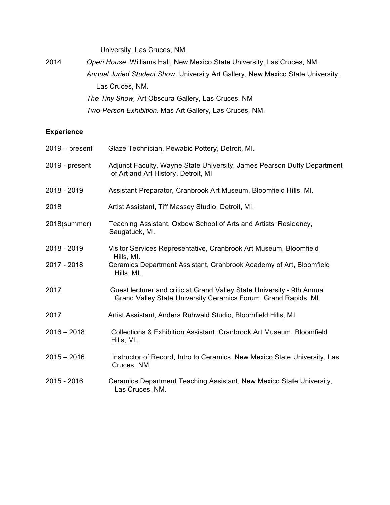University, Las Cruces, NM.

| 2014 | Open House. Williams Hall, New Mexico State University, Las Cruces, NM.          |
|------|----------------------------------------------------------------------------------|
|      | Annual Juried Student Show. University Art Gallery, New Mexico State University, |
|      | Las Cruces, NM.                                                                  |
|      | The Tiny Show, Art Obscura Gallery, Las Cruces, NM                               |
|      | Two-Person Exhibition. Mas Art Gallery, Las Cruces, NM.                          |

## **Experience**

| $2019 - present$ | Glaze Technician, Pewabic Pottery, Detroit, MI.                                                                                            |
|------------------|--------------------------------------------------------------------------------------------------------------------------------------------|
| 2019 - present   | Adjunct Faculty, Wayne State University, James Pearson Duffy Department<br>of Art and Art History, Detroit, MI                             |
| 2018 - 2019      | Assistant Preparator, Cranbrook Art Museum, Bloomfield Hills, MI.                                                                          |
| 2018             | Artist Assistant, Tiff Massey Studio, Detroit, MI.                                                                                         |
| 2018(summer)     | Teaching Assistant, Oxbow School of Arts and Artists' Residency,<br>Saugatuck, MI.                                                         |
| 2018 - 2019      | Visitor Services Representative, Cranbrook Art Museum, Bloomfield                                                                          |
| 2017 - 2018      | Hills, MI.<br>Ceramics Department Assistant, Cranbrook Academy of Art, Bloomfield<br>Hills, MI.                                            |
| 2017             | Guest lecturer and critic at Grand Valley State University - 9th Annual<br>Grand Valley State University Ceramics Forum. Grand Rapids, MI. |
| 2017             | Artist Assistant, Anders Ruhwald Studio, Bloomfield Hills, MI.                                                                             |
| $2016 - 2018$    | Collections & Exhibition Assistant, Cranbrook Art Museum, Bloomfield<br>Hills, MI.                                                         |
| $2015 - 2016$    | Instructor of Record, Intro to Ceramics. New Mexico State University, Las<br>Cruces, NM                                                    |
| 2015 - 2016      | Ceramics Department Teaching Assistant, New Mexico State University,<br>Las Cruces, NM.                                                    |